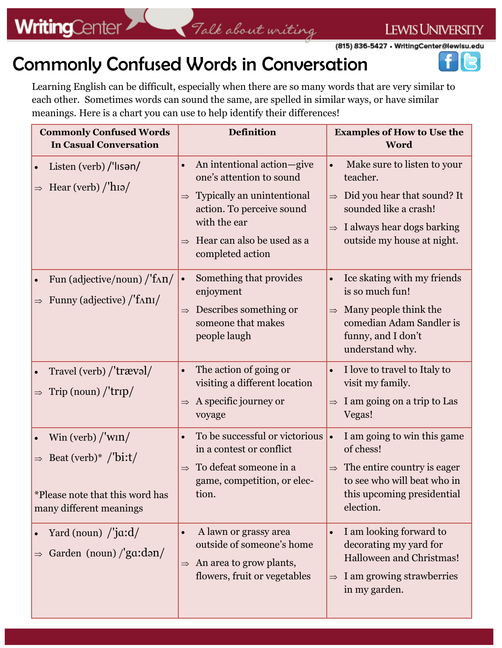Talk about writing

n R

(815) 836-5427 . WritingCenter@lewisu.edu

### Commonly Confused Words in Conversation

Learning English can be difficult, especially when there are so many words that are very similar to each other. Sometimes words can sound the same, are spelled in similar ways, or have similar meanings. Here is a chart you can use to help identify their differences!

| <b>Commonly Confused Words</b><br><b>In Casual Conversation</b>                                                           | <b>Definition</b>                                                                        | <b>Examples of How to Use the</b><br>Word                                                                           |
|---------------------------------------------------------------------------------------------------------------------------|------------------------------------------------------------------------------------------|---------------------------------------------------------------------------------------------------------------------|
| Listen (verb) $\frac{1}{1}$ lisən $\frac{1}{2}$<br>$\bullet$<br>$\Rightarrow$ Hear (verb) /'hɪə/                          | An intentional action-give<br>one's attention to sound                                   | Make sure to listen to your<br>teacher.                                                                             |
|                                                                                                                           | Typically an unintentional<br>$\Rightarrow$<br>action. To perceive sound<br>with the ear | $\Rightarrow$ Did you hear that sound? It<br>sounded like a crash!<br>I always hear dogs barking<br>$\Rightarrow$   |
|                                                                                                                           | Hear can also be used as a<br>completed action                                           | outside my house at night.                                                                                          |
| Fun (adjective/noun) /'f^n/<br>$\bullet$                                                                                  | Something that provides<br>$\bullet$<br>enjoyment                                        | Ice skating with my friends<br>is so much fun!                                                                      |
| Funny (adjective) /'f^n1/<br>$\Rightarrow$                                                                                | Describes something or<br>$\Rightarrow$<br>someone that makes<br>people laugh            | $\Rightarrow$ Many people think the<br>comedian Adam Sandler is<br>funny, and I don't<br>understand why.            |
| Travel (verb) /'trævəl/<br>$\bullet$                                                                                      | The action of going or<br>$\bullet$<br>visiting a different location                     | I love to travel to Italy to<br>visit my family.                                                                    |
| Trip (noun) $/\text{trip}/$                                                                                               | A specific journey or<br>voyage                                                          | I am going on a trip to Las<br>Vegas!                                                                               |
| Win (verb) $\frac{\text{w}}{\text{w}}$<br>$\bullet$                                                                       | To be successful or victorious<br>$\bullet$<br>in a contest or conflict                  | I am going to win this game<br>$\bullet$<br>of chess!                                                               |
| Beat (verb)* $\frac{\text{B}}{\text{bit}}$<br>$\Rightarrow$<br>*Please note that this word has<br>many different meanings | To defeat someone in a<br>$\Rightarrow$<br>game, competition, or elec-<br>tion.          | $\Rightarrow$ The entire country is eager<br>to see who will beat who in<br>this upcoming presidential<br>election. |
| Yard (noun) $\frac{\gamma}{\alpha}$ :d/<br>Garden (noun) $\frac{1}{3}$ (ga:dən/                                           | A lawn or grassy area<br>$\bullet$<br>outside of someone's home                          | I am looking forward to<br>decorating my yard for                                                                   |
|                                                                                                                           | An area to grow plants,<br>$\Rightarrow$<br>flowers, fruit or vegetables                 | Halloween and Christmas!<br>$\Rightarrow$ I am growing strawberries<br>in my garden.                                |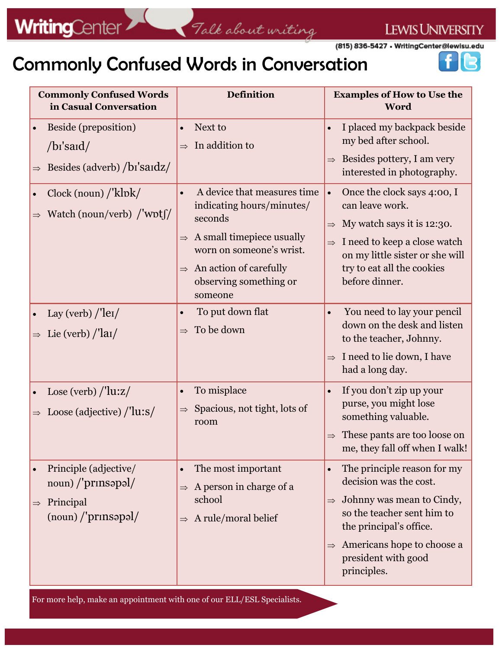(815) 836-5427 • WritingCenter@lewisu.edu

## Commonly Confused Words in Conversation



| <b>Commonly Confused Words</b><br>in Casual Conversation                                                               | <b>Definition</b>                                                                                                                                                                                                                       | <b>Examples of How to Use the</b><br>Word                                                                                                                                                                                                   |
|------------------------------------------------------------------------------------------------------------------------|-----------------------------------------------------------------------------------------------------------------------------------------------------------------------------------------------------------------------------------------|---------------------------------------------------------------------------------------------------------------------------------------------------------------------------------------------------------------------------------------------|
| Beside (preposition)<br>$\bullet$<br>$\frac{1}{a}$ /b <sub>I</sub> 's and<br>Besides (adverb) /bi'saidz/               | Next to<br>$\bullet$<br>In addition to                                                                                                                                                                                                  | I placed my backpack beside<br>my bed after school.<br>Besides pottery, I am very<br>interested in photography.                                                                                                                             |
| Clock (noun) / 'klok/<br>$\bullet$<br>Watch (noun/verb) /'wpt $\int$<br>$\Rightarrow$                                  | A device that measures time<br>$\bullet$<br>indicating hours/minutes/<br>seconds<br>A small timepiece usually<br>$\Rightarrow$<br>worn on someone's wrist.<br>$\Rightarrow$ An action of carefully<br>observing something or<br>someone | Once the clock says 4:00, I<br>$\bullet$<br>can leave work.<br>My watch says it is 12:30.<br>I need to keep a close watch<br>$\Rightarrow$<br>on my little sister or she will<br>try to eat all the cookies<br>before dinner.               |
| Lay (verb) $/$ <sup>'</sup> le <sub>I</sub> $/$<br>$\bullet$<br>Lie (verb) $\frac{\text{li}}{\text{ln}}$               | To put down flat<br>$\bullet$<br>To be down<br>$\Rightarrow$                                                                                                                                                                            | You need to lay your pencil<br>down on the desk and listen<br>to the teacher, Johnny.<br>$\Rightarrow$ I need to lie down, I have<br>had a long day.                                                                                        |
| Lose (verb) $\frac{\text{?}}{\text{?}}$<br>$\bullet$<br>Loose (adjective) $\frac{\text{?}}{\text{?}}$<br>$\Rightarrow$ | To misplace<br>$\bullet$<br>Spacious, not tight, lots of<br>$\Rightarrow$<br>room                                                                                                                                                       | If you don't zip up your<br>purse, you might lose<br>something valuable.<br>These pants are too loose on<br>me, they fall off when I walk!                                                                                                  |
| Principle (adjective/<br>noun) /'prinsapal/<br>$\Rightarrow$ Principal<br>$\frac{1}{2}$ (noun) /'prinsapal/            | The most important<br>$\bullet$<br>A person in charge of a<br>$\Rightarrow$<br>school<br>A rule/moral belief<br>$\Rightarrow$                                                                                                           | The principle reason for my<br>decision was the cost.<br>$\Rightarrow$ Johnny was mean to Cindy,<br>so the teacher sent him to<br>the principal's office.<br>$\Rightarrow$ Americans hope to choose a<br>president with good<br>principles. |

For more help, make an appointment with one of our ELL/ESL Specialists.